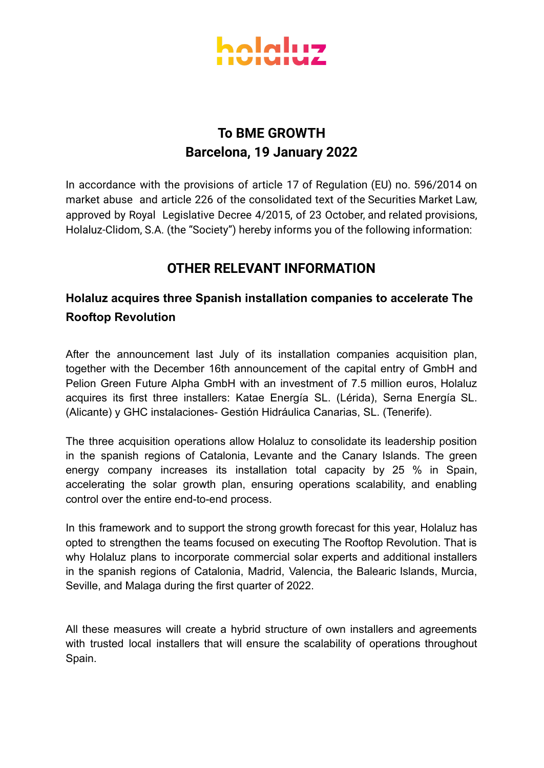

## **To BME GROWTH Barcelona, 19 January 2022**

In accordance with the provisions of article 17 of Regulation (EU) no. 596/2014 on market abuse and article 226 of the consolidated text of the Securities Market Law, approved by Royal Legislative Decree 4/2015, of 23 October, and related provisions, Holaluz-Clidom, S.A. (the "Society") hereby informs you of the following information:

## **OTHER RELEVANT INFORMATION**

## **Holaluz acquires three Spanish installation companies to accelerate The Rooftop Revolution**

After the announcement last July of its installation companies acquisition plan, together with the December 16th announcement of the capital entry of GmbH and Pelion Green Future Alpha GmbH with an investment of 7.5 million euros, Holaluz acquires its first three installers: Katae Energía SL. (Lérida), Serna Energía SL. (Alicante) y GHC instalaciones- Gestión Hidráulica Canarias, SL. (Tenerife).

The three acquisition operations allow Holaluz to consolidate its leadership position in the spanish regions of Catalonia, Levante and the Canary Islands. The green energy company increases its installation total capacity by 25 % in Spain, accelerating the solar growth plan, ensuring operations scalability, and enabling control over the entire end-to-end process.

In this framework and to support the strong growth forecast for this year, Holaluz has opted to strengthen the teams focused on executing The Rooftop Revolution. That is why Holaluz plans to incorporate commercial solar experts and additional installers in the spanish regions of Catalonia, Madrid, Valencia, the Balearic Islands, Murcia, Seville, and Malaga during the first quarter of 2022.

All these measures will create a hybrid structure of own installers and agreements with trusted local installers that will ensure the scalability of operations throughout Spain.